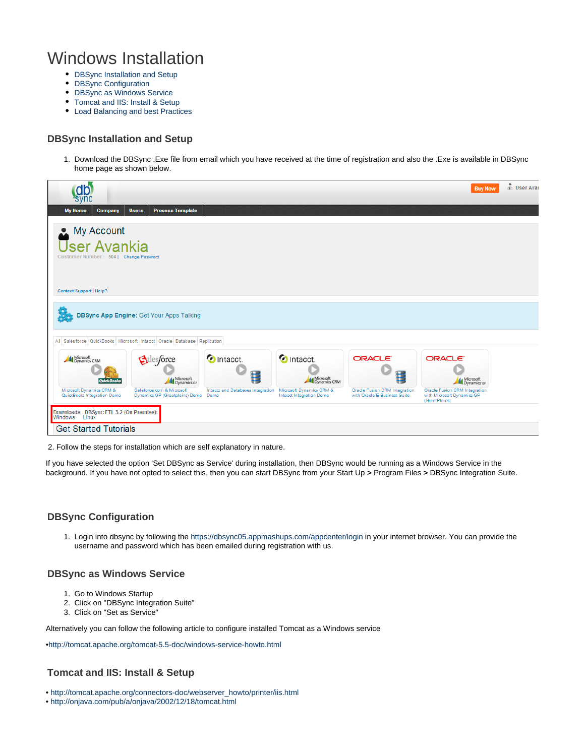# Windows Installation

- [DBSync Installation and Setup](#page-0-0)
- [DBSync Configuration](#page-0-1)
- [DBSync as Windows Service](#page-0-2)
- [Tomcat and IIS: Install & Setup](#page-0-3)
- [Load Balancing and best Practices](#page-1-0)

#### <span id="page-0-0"></span>**DBSync Installation and Setup**

1. Download the DBSync .Exe file from email which you have received at the time of registration and also the .Exe is available in DBSync home page as shown below.

| <b>Company</b><br><b>My Home</b>                                                                                                                        | <b>Process Template</b><br><b>Users</b>                     |                                           |                                                      |                                                                      | <b>Buy Now</b>                                                               | & User Avar |
|---------------------------------------------------------------------------------------------------------------------------------------------------------|-------------------------------------------------------------|-------------------------------------------|------------------------------------------------------|----------------------------------------------------------------------|------------------------------------------------------------------------------|-------------|
| My Account<br>Δ<br><b>User Avankia</b><br>Customer Number: 504   Change Password                                                                        |                                                             |                                           |                                                      |                                                                      |                                                                              |             |
| Contact Support   Help?                                                                                                                                 | <b>DBSync App Engine: Get Your Apps Talking</b>             |                                           |                                                      |                                                                      |                                                                              |             |
| All Salesforce QuickBooks Microsoft Intacct Oracle Database Replication<br>Microsoft<br>Dynamics CRM<br><b>OuickBooks</b>                               | Salesforce<br>Microsoft<br>Dynamics GP                      | O Intacct.<br>н                           | <b>O</b> Intacct.<br>Microsoft<br>Dynamics CRM       | ORACLE <sup>®</sup><br>琩                                             | ORACLE <sup>®</sup><br>Microsoft<br>Dynamics GP                              |             |
| Microsoft Dynamics CRM &<br>QuickBooks Integration Demo<br>Downloads - DBSync ETL 3.2 (On Premise):<br>Windows<br>Linux<br><b>Get Started Tutorials</b> | Saleforce.com & Microsoft<br>Dynamics GP (Greatplains) Demo | Intacct and Databases Integration<br>Demo | Microsoft Dynamics CRM &<br>Intacct Integration Demo | <b>Oracle Fusion CRM Integration</b><br>with Oracle E-Business Suite | Oracle Fusion CRM Integration<br>with Microsoft Dynamics GP<br>(GreatPlains) |             |

2. Follow the steps for installation which are self explanatory in nature.

If you have selected the option 'Set DBSync as Service' during installation, then DBSync would be running as a Windows Service in the background. If you have not opted to select this, then you can start DBSync from your Start Up **>** Program Files **>** DBSync Integration Suite.

## <span id="page-0-1"></span>**DBSync Configuration**

1. Login into dbsync by following the <https://dbsync05.appmashups.com/appcenter/login> in your internet browser. You can provide the username and password which has been emailed during registration with us.

#### <span id="page-0-2"></span>**DBSync as Windows Service**

- 1. Go to Windows Startup
- 2. Click on "DBSync Integration Suite"
- 3. Click on "Set as Service"

Alternatively you can follow the following article to configure installed Tomcat as a Windows service

•<http://tomcat.apache.org/tomcat-5.5-doc/windows-service-howto.html>

## <span id="page-0-3"></span>**Tomcat and IIS: Install & Setup**

- • [http://tomcat.apache.org/connectors-doc/webserver\\_howto/printer/iis.html](http://tomcat.apache.org/connectors-doc/webserver_howto/printer/iis.html)
- •<http://onjava.com/pub/a/onjava/2002/12/18/tomcat.html>